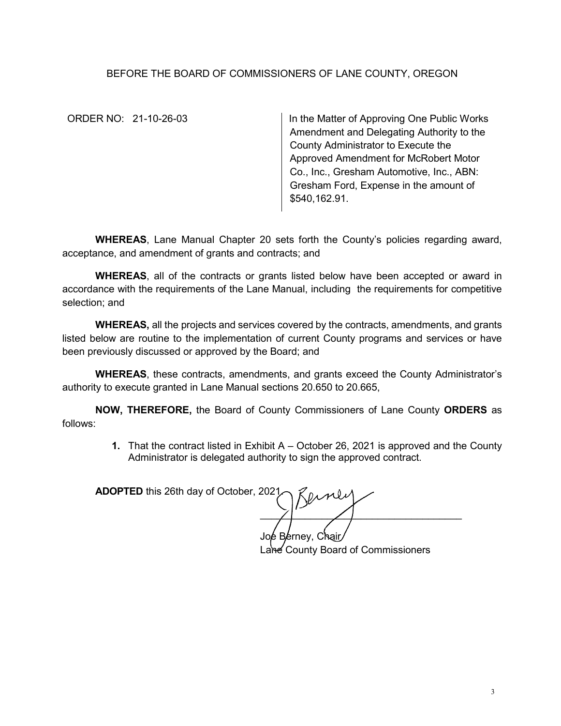## BEFORE THE BOARD OF COMMISSIONERS OF LANE COUNTY, OREGON

ORDER NO: 21-10-26-03 | In the Matter of Approving One Public Works Amendment and Delegating Authority to the County Administrator to Execute the Approved Amendment for McRobert Motor Co., Inc., Gresham Automotive, Inc., ABN: Gresham Ford, Expense in the amount of \$540,162.91.

**WHEREAS**, Lane Manual Chapter 20 sets forth the County's policies regarding award, acceptance, and amendment of grants and contracts; and

**WHEREAS**, all of the contracts or grants listed below have been accepted or award in accordance with the requirements of the Lane Manual, including the requirements for competitive selection; and

**WHEREAS,** all the projects and services covered by the contracts, amendments, and grants listed below are routine to the implementation of current County programs and services or have been previously discussed or approved by the Board; and

**WHEREAS**, these contracts, amendments, and grants exceed the County Administrator's authority to execute granted in Lane Manual sections 20.650 to 20.665,

**NOW, THEREFORE,** the Board of County Commissioners of Lane County **ORDERS** as follows:

> **1.** That the contract listed in Exhibit A – October 26, 2021 is approved and the County Administrator is delegated authority to sign the approved contract.

**ADOPTED** this 26th day of October, 2021.  $\blacksquare$ 

Joe Berney, Chair/ Lane County Board of Commissioners